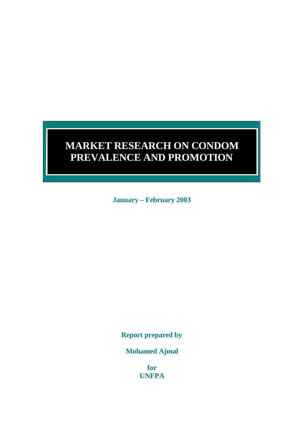# **MARKET RESEARCH ON CONDOM PREVALENCE AND PROMOTION**

**January – February 2003**

**Service Service** 

**Report prepared by**

**Mohamed Ajmal**

**for UNFPA**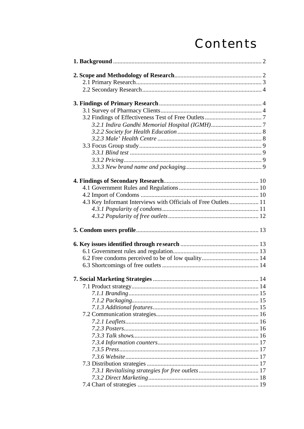# Contents

| 4.3 Key Informant Interviews with Officials of Free Outlets 11 |  |
|----------------------------------------------------------------|--|
|                                                                |  |
|                                                                |  |
|                                                                |  |
|                                                                |  |
|                                                                |  |
|                                                                |  |
|                                                                |  |
|                                                                |  |
|                                                                |  |
|                                                                |  |
|                                                                |  |
|                                                                |  |
|                                                                |  |
|                                                                |  |
|                                                                |  |
|                                                                |  |
|                                                                |  |
|                                                                |  |
|                                                                |  |
|                                                                |  |
|                                                                |  |
|                                                                |  |
|                                                                |  |
|                                                                |  |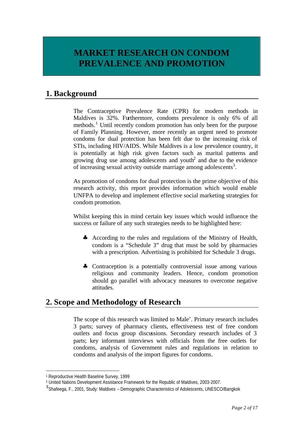# **MARKET RESEARCH ON CONDOM PREVALENCE AND PROMOTION**

# **1. Background**

The Contraceptive Prevalence Rate (CPR) for modern methods in Maldives is 32%. Furthermore, condoms prevalence is only 6% of all methods.<sup>1</sup> Until recently condom promotion has only been for the purpose of Family Planning. However, more recently an urgent need to promote condoms for dual protection has been felt due to the increasing risk of STIs, including HIV/AIDS. While Maldives is a low prevalence country, it is potentially at high risk given factors such as marital patterns and growing drug use among adolescents and youth<sup>2</sup> and due to the evidence of increasing sexual activity outside marriage among adolescents<sup>3</sup>.

As promotion of condoms for dual protection is the prime objective of this research activity, this report provides information which would enable UNFPA to develop and implement effective social marketing strategies for condom promotion.

Whilst keeping this in mind certain key issues which would influence the success or failure of any such strategies needs to be highlighted here:

- ♣ According to the rules and regulations of the Ministry of Health, condom is a "Schedule 3" drug that must be sold by pharmacies with a prescription. Advertising is prohibited for Schedule 3 drugs.
- ♣ Contraception is a potentially controversial issue among various religious and community leaders. Hence, condom promotion should go parallel with advocacy measures to overcome negative attitudes.

# **2. Scope and Methodology of Research**

The scope of this research was limited to Male'. Primary research includes 3 parts; survey of pharmacy clients, effectiveness test of free condom outlets and focus group discussions. Secondary research includes of 3 parts; key informant interviews with officials from the free outlets for condoms, analysis of Government rules and regulations in relation to condoms and analysis of the import figures for condoms.

l

<sup>1</sup> Reproductive Health Baseline Survey, 1999

<sup>2</sup> United Nations Development Assistance Framework for the Republic of Maldives, 2003-2007.

<sup>&</sup>lt;sup>3</sup> Shafeega, F., 2001, Study: Maldives - Demographic Characteristics of Adolescents, UNESCO/Bangkok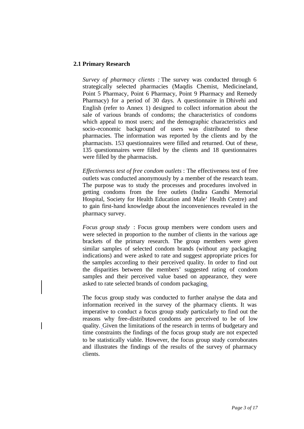#### **2.1 Primary Research**

 $\mathbf l$ 

*Survey of pharmacy clients :* The survey was conducted through 6 strategically selected pharmacies (Maqdis Chemist, Medicineland, Point 5 Pharmacy, Point 6 Pharmacy, Point 9 Pharmacy and Remedy Pharmacy) for a period of 30 days. A questionnaire in Dhivehi and English (refer to Annex 1) designed to collect information about the sale of various brands of condoms; the characteristics of condoms which appeal to most users; and the demographic characteristics and socio-economic background of users was distributed to these pharmacies. The information was reported by the clients and by the pharmacists. 153 questionnaires were filled and returned. Out of these, 135 questionnaires were filled by the clients and 18 questionnaires were filled by the pharmacists.

*Effectiveness test of free condom outlets* : The effectiveness test of free outlets was conducted anonymously by a member of the research team. The purpose was to study the processes and procedures involved in getting condoms from the free outlets (Indira Gandhi Memorial Hospital, Society for Health Education and Male' Health Centre) and to gain first-hand knowledge about the inconveniences revealed in the pharmacy survey.

*Focus group study* : Focus group members were condom users and were selected in proportion to the number of clients in the various age brackets of the primary research. The group members were given similar samples of selected condom brands (without any packaging indications) and were asked to rate and suggest appropriate prices for the samples according to their perceived quality. In order to find out the disparities between the members' suggested rating of condom samples and their perceived value based on appearance, they were asked to rate selected brands of condom packaging.

The focus group study was conducted to further analyse the data and information received in the survey of the pharmacy clients. It was imperative to conduct a focus group study particularly to find out the reasons why free-distributed condoms are perceived to be of low quality. Given the limitations of the research in terms of budgetary and time constraints the findings of the focus group study are not expected to be statistically viable. However, the focus group study corroborates and illustrates the findings of the results of the survey of pharmacy clients.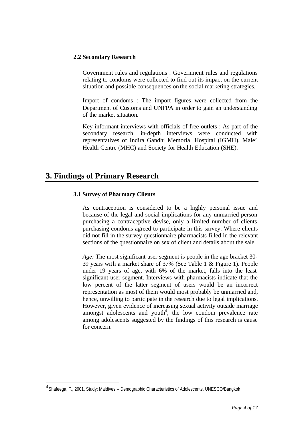### **2.2 Secondary Research**

Government rules and regulations : Government rules and regulations relating to condoms were collected to find out its impact on the current situation and possible consequences on the social marketing strategies.

Import of condoms : The import figures were collected from the Department of Customs and UNFPA in order to gain an understanding of the market situation.

Key informant interviews with officials of free outlets : As part of the secondary research, in-depth interviews were conducted with representatives of Indira Gandhi Memorial Hospital (IGMH), Male' Health Centre (MHC) and Society for Health Education (SHE).

# **3. Findings of Primary Research**

l

### **3.1 Survey of Pharmacy Clients**

As contraception is considered to be a highly personal issue and because of the legal and social implications for any unmarried person purchasing a contraceptive devise, only a limited number of clients purchasing condoms agreed to participate in this survey. Where clients did not fill in the survey questionnaire pharmacists filled in the relevant sections of the questionnaire on sex of client and details about the sale.

*Age:* The most significant user segment is people in the age bracket 30- 39 years with a market share of 37% (See Table 1 & Figure 1). People under 19 years of age, with 6% of the market, falls into the least significant user segment. Interviews with pharmacists indicate that the low percent of the latter segment of users would be an incorrect representation as most of them would most probably be unmarried and, hence, unwilling to participate in the research due to legal implications. However, given evidence of increasing sexual activity outside marriage amongst adolescents and youth<sup>4</sup>, the low condom prevalence rate among adolescents suggested by the findings of this research is cause for concern.

<sup>&</sup>lt;sup>4</sup> Shafeega, F., 2001, Study: Maldives - Demographic Characteristics of Adolescents, UNESCO/Bangkok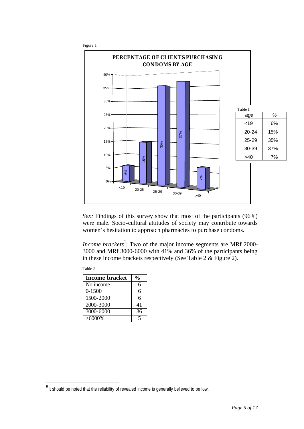

*Sex:* Findings of this survey show that most of the participants (96%) were male. Socio-cultural attitudes of society may contribute towards women's hesitation to approach pharmacies to purchase condoms.

*Income brackets*<sup>5</sup>: Two of the major income segments are MRf 2000-3000 and MRf 3000-6000 with 41% and 36% of the participants being in these income brackets respectively (See Table 2 & Figure 2).

| <b>Income bracket</b>   |    |
|-------------------------|----|
| No income               | 6  |
| $0 - 1500$              | 6  |
| 1500-2000               | 6  |
| 2000-3000               | 41 |
| $\overline{3000}$ -6000 | 36 |
| $>6000\%$               |    |

Table 2

l

<sup>&</sup>lt;sup>5</sup> It should be noted that the reliability of revealed income is generally believed to be low.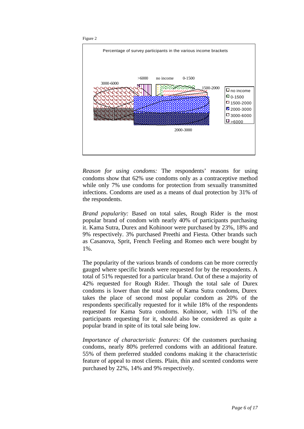



*Reason for using condoms:* The respondents' reasons for using condoms show that 62% use condoms only as a contraceptive method while only 7% use condoms for protection from sexually transmitted infections. Condoms are used as a means of dual protection by 31% of the respondents.

*Brand popularity:* Based on total sales, Rough Rider is the most popular brand of condom with nearly 40% of participants purchasing it. Kama Sutra, Durex and Kohinoor were purchased by 23%, 18% and 9% respectively. 3% purchased Preethi and Fiesta. Other brands such as Casanova, Sprit, French Feeling and Romeo each were bought by 1%.

The popularity of the various brands of condoms can be more correctly gauged where specific brands were requested for by the respondents. A total of 51% requested for a particular brand. Out of these a majority of 42% requested for Rough Rider. Though the total sale of Durex condoms is lower than the total sale of Kama Sutra condoms, Durex takes the place of second most popular condom as 20% of the respondents specifically requested for it while 18% of the respondents requested for Kama Sutra condoms. Kohinoor, with 11% of the participants requesting for it, should also be considered as quite a popular brand in spite of its total sale being low.

*Importance of characteristic features:* Of the customers purchasing condoms, nearly 80% preferred condoms with an additional feature. 55% of them preferred studded condoms making it the characteristic feature of appeal to most clients. Plain, thin and scented condoms were purchased by 22%, 14% and 9% respectively.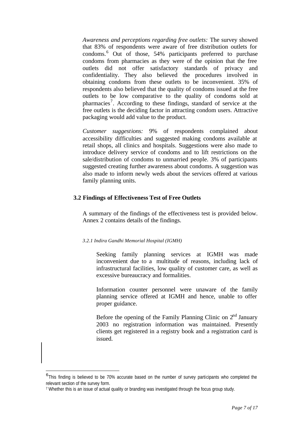*Awareness and perceptions regarding free outlets:* The survey showed that 83% of respondents were aware of free distribution outlets for condoms.<sup>6</sup> Out of those, 54% participants preferred to purchase condoms from pharmacies as they were of the opinion that the free outlets did not offer satisfactory standards of privacy and confidentiality. They also believed the procedures involved in obtaining condoms from these outlets to be inconvenient. 35% of respondents also believed that the quality of condoms issued at the free outlets to be low comparative to the quality of condoms sold at pharmacies<sup>7</sup>. According to these findings, standard of service at the free outlets is the deciding factor in attracting condom users. Attractive packaging would add value to the product.

*Customer suggestions:* 9% of respondents complained about accessibility difficulties and suggested making condoms available at retail shops, all clinics and hospitals. Suggestions were also made to introduce delivery service of condoms and to lift restrictions on the sale/distribution of condoms to unmarried people. 3% of participants suggested creating further awareness about condoms. A suggestion was also made to inform newly weds about the services offered at various family planning units.

### **3.2 Findings of Effectiveness Test of Free Outlets**

A summary of the findings of the effectiveness test is provided below. Annex 2 contains details of the findings.

### *3.2.1 Indira Gandhi Memorial Hospital (IGMH)*

Seeking family planning services at IGMH was made inconvenient due to a multitude of reasons, including lack of infrastructural facilities, low quality of customer care, as well as excessive bureaucracy and formalities.

Information counter personnel were unaware of the family planning service offered at IGMH and hence, unable to offer proper guidance.

Before the opening of the Family Planning Clinic on  $2<sup>nd</sup>$  January 2003 no registration information was maintained. Presently clients get registered in a registry book and a registration card is issued.

l

<sup>&</sup>lt;sup>6</sup>This finding is believed to be 70% accurate based on the number of survey participants who completed the relevant section of the survey form.

<sup>7</sup> Whether this is an issue of actual quality or branding was investigated through the focus group study.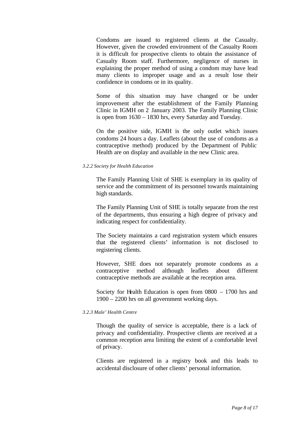Condoms are issued to registered clients at the Casualty. However, given the crowded environment of the Casualty Room it is difficult for prospective clients to obtain the assistance of Casualty Room staff. Furthermore, negligence of nurses in explaining the proper method of using a condom may have lead many clients to improper usage and as a result lose their confidence in condoms or in its quality.

Some of this situation may have changed or be under improvement after the establishment of the Family Planning Clinic in IGMH on 2 January 2003. The Family Planning Clinic is open from 1630 – 1830 hrs, every Saturday and Tuesday.

On the positive side, IGMH is the only outlet which issues condoms 24 hours a day. Leaflets (about the use of condoms as a contraceptive method) produced by the Department of Public Health are on display and available in the new Clinic area.

#### *3.2.2 Society for Health Education*

The Family Planning Unit of SHE is exemplary in its quality of service and the commitment of its personnel towards maintaining high standards.

The Family Planning Unit of SHE is totally separate from the rest of the departments, thus ensuring a high degree of privacy and indicating respect for confidentiality.

The Society maintains a card registration system which ensures that the registered clients' information is not disclosed to registering clients.

However, SHE does not separately promote condoms as a contraceptive method although leaflets about different contraceptive methods are available at the reception area.

Society for Health Education is open from 0800 – 1700 hrs and 1900 – 2200 hrs on all government working days.

#### *3.2.3 Male' Health Centre*

Though the quality of service is acceptable, there is a lack of privacy and confidentiality. Prospective clients are received at a common reception area limiting the extent of a comfortable level of privacy.

Clients are registered in a registry book and this leads to accidental disclosure of other clients' personal information.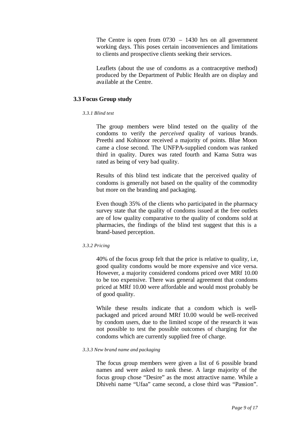The Centre is open from 0730 – 1430 hrs on all government working days. This poses certain inconveniences and limitations to clients and prospective clients seeking their services.

Leaflets (about the use of condoms as a contraceptive method) produced by the Department of Public Health are on display and available at the Centre.

#### **3.3 Focus Group study**

#### *3.3.1 Blind test*

The group members were blind tested on the quality of the condoms to verify the *perceived* quality of various brands. Preethi and Kohinoor received a majority of points. Blue Moon came a close second. The UNFPA-supplied condom was ranked third in quality. Durex was rated fourth and Kama Sutra was rated as being of very bad quality.

Results of this blind test indicate that the perceived quality of condoms is generally not based on the quality of the commodity but more on the branding and packaging.

Even though 35% of the clients who participated in the pharmacy survey state that the quality of condoms issued at the free outlets are of low quality comparative to the quality of condoms sold at pharmacies, the findings of the blind test suggest that this is a brand-based perception.

#### *3.3.2 Pricing*

40% of the focus group felt that the price is relative to quality, i.e, good quality condoms would be more expensive and vice versa. However, a majority considered condoms priced over MRf 10.00 to be too expensive. There was general agreement that condoms priced at MRf 10.00 were affordable and would most probably be of good quality.

While these results indicate that a condom which is wellpackaged and priced around MRf 10.00 would be well-received by condom users, due to the limited scope of the research it was not possible to test the possible outcomes of charging for the condoms which are currently supplied free of charge.

#### *3.3.3 New brand name and packaging*

The focus group members were given a list of 6 possible brand names and were asked to rank these. A large majority of the focus group chose "Desire" as the most attractive name. While a Dhivehi name "Ufaa" came second, a close third was "Passion".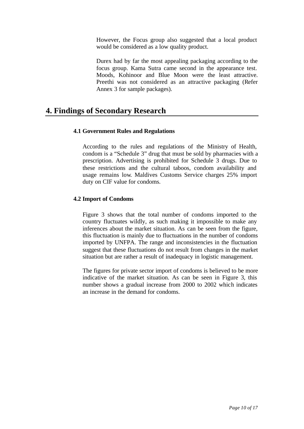However, the Focus group also suggested that a local product would be considered as a low quality product.

Durex had by far the most appealing packaging according to the focus group. Kama Sutra came second in the appearance test. Moods, Kohinoor and Blue Moon were the least attractive. Preethi was not considered as an attractive packaging (Refer Annex 3 for sample packages).

# **4. Findings of Secondary Research**

# **4.1 Government Rules and Regulations**

According to the rules and regulations of the Ministry of Health, condom is a "Schedule 3" drug that must be sold by pharmacies with a prescription. Advertising is prohibited for Schedule 3 drugs. Due to these restrictions and the cultural taboos, condom availability and usage remains low. Maldives Customs Service charges 25% import duty on CIF value for condoms.

# **4.2 Import of Condoms**

Figure 3 shows that the total number of condoms imported to the country fluctuates wildly, as such making it impossible to make any inferences about the market situation. As can be seen from the figure, this fluctuation is mainly due to fluctuations in the number of condoms imported by UNFPA. The range and inconsistencies in the fluctuation suggest that these fluctuations do not result from changes in the market situation but are rather a result of inadequacy in logistic management.

The figures for private sector import of condoms is believed to be more indicative of the market situation. As can be seen in Figure 3, this number shows a gradual increase from 2000 to 2002 which indicates an increase in the demand for condoms.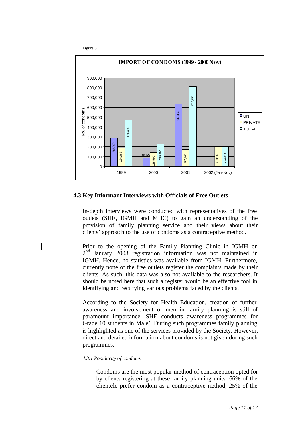



#### **4.3 Key Informant Interviews with Officials of Free Outlets**

In-depth interviews were conducted with representatives of the free outlets (SHE, IGMH and MHC) to gain an understanding of the provision of family planning service and their views about their clients' approach to the use of condoms as a contraceptive method.

Prior to the opening of the Family Planning Clinic in IGMH on 2<sup>nd</sup> January 2003 registration information was not maintained in IGMH. Hence, no statistics was available from IGMH. Furthermore, currently none of the free outlets register the complaints made by their clients. As such, this data was also not available to the researchers. It should be noted here that such a register would be an effective tool in identifying and rectifying various problems faced by the clients.

According to the Society for Health Education, creation of further awareness and involvement of men in family planning is still of paramount importance. SHE conducts awareness programmes for Grade 10 students in Male'. During such programmes family planning is highlighted as one of the services provided by the Society. However, direct and detailed information about condoms is not given during such programmes.

#### *4.3.1 Popularity of condoms*

Condoms are the most popular method of contraception opted for by clients registering at these family planning units. 66% of the clientele prefer condom as a contraceptive method, 25% of the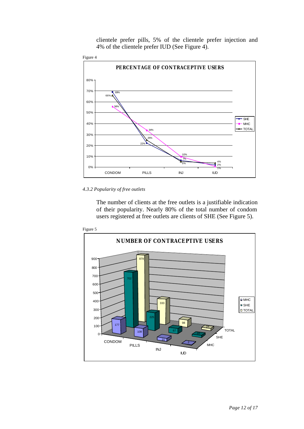clientele prefer pills, 5% of the clientele prefer injection and 4% of the clientele prefer IUD (See Figure 4).



#### *4.3.2 Popularity of free outlets*

The number of clients at the free outlets is a justifiable indication of their popularity. Nearly 80% of the total number of condom users registered at free outlets are clients of SHE (See Figure 5).



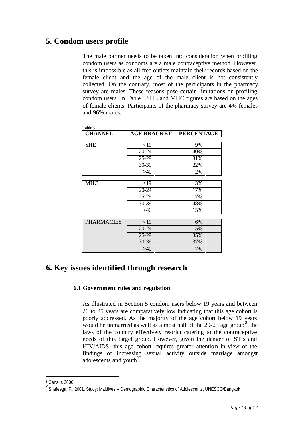# **5. Condom users profile**

The male partner needs to be taken into consideration when profiling condom users as condoms are a male contraceptive method. However, this is impossible as all free outlets maintain their records based on the female client and the age of the male client is not consistently collected. On the contrary, most of the participants in the pharmacy survey are males. These reasons pose certain limitations on profiling condom users. In Table 3SHE and MHC figures are based on the ages of female clients. Participants of the pharmacy survey are 4% females and 96% males.

| <b>CHANNEL</b>    | <b>AGE BRACKET</b> | <b>PERCENTAGE</b> |
|-------------------|--------------------|-------------------|
|                   |                    |                   |
| <b>SHE</b>        | $<$ 19             | 9%                |
|                   | 20-24              | 40%               |
|                   | $25 - 29$          | 31%               |
|                   | 30-39              | 22%               |
|                   | >40                | 2%                |
|                   |                    |                   |
| <b>MHC</b>        | $<$ 19             | 3%                |
|                   | 20-24              | 17%               |
|                   | $25-29$            | 17%               |
|                   | 30-39              | 48%               |
|                   | >40                | 15%               |
|                   |                    |                   |
| <b>PHARMACIES</b> | $<$ 19             | 6%                |
|                   | $20 - 24$          | 15%               |
|                   | $25-29$            | 35%               |
|                   | 30-39              | 37%               |
|                   | >40                | 7%                |

 $T_{\rm{max}}$ 

# **6. Key issues identified through research**

### **6.1 Government rules and regulation**

As illustrated in Section 5 condom users below 19 years and between 20 to 25 years are comparatively low indicating that this age cohort is poorly addressed. As the majority of the age cohort below 19 years would be unmarried as well as almost half of the  $20-25$  age group<sup>8</sup>, the laws of the country effectively restrict catering to the contraceptive needs of this target group. However, given the danger of STIs and HIV/AIDS, this age cohort requires greater attention in view of the findings of increasing sexual activity outside marriage amongst adolescents and youth<sup>9</sup>.

l

<sup>8</sup> Census 2000

<sup>&</sup>lt;sup>9</sup> Shafeega, F., 2001, Study: Maldives - Demographic Characteristics of Adolescents, UNESCO/Bangkok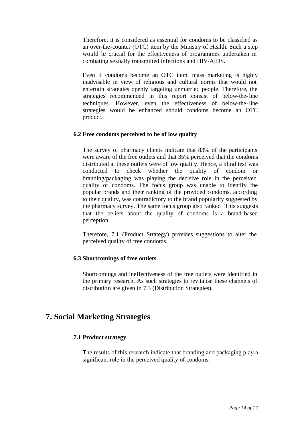Therefore, it is considered as essential for condoms to be classified as an over-the-counter (OTC) item by the Ministry of Health. Such a step would be crucial for the effectiveness of programmes undertaken in combating sexually transmitted infections and HIV/AIDS.

Even if condoms become an OTC item, mass marketing is highly inadvisable in view of religious and cultural norms that would not entertain strategies openly targeting unmarried people. Therefore, the strategies recommended in this report consist of below-the-line techniques. However, even the effectiveness of below-the-line strategies would be enhanced should condoms become an OTC product.

### **6.2 Free condoms perceived to be of low quality**

The survey of pharmacy clients indicate that 83% of the participants were aware of the free outlets and that 35% perceived that the condoms distributed at these outlets were of low quality. Hence, a blind test was conducted to check whether the quality of condom or branding/packaging was playing the decisive role in the perceived quality of condoms. The focus group was unable to identify the popular brands and their ranking of the provided condoms, according to their quality, was contradictory to the brand popularity suggested by the pharmacy survey. The same focus group also ranked This suggests that the beliefs about the quality of condoms is a brand-based perception.

Therefore, 7.1 (Product Strategy) provides suggestions to alter the perceived quality of free condoms.

# **6.3 Shortcomings of free outlets**

Shortcomings and ineffectiveness of the free outlets were identified in the primary research. As such strategies to revitalise these channels of distribution are given in 7.3 (Distribution Strategies).

# **7. Social Marketing Strategies**

# **7.1 Product strategy**

The results of this research indicate that branding and packaging play a significant role in the perceived quality of condoms.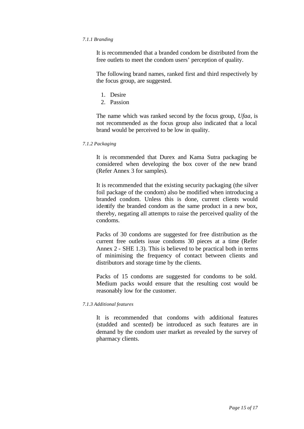#### *7.1.1 Branding*

It is recommended that a branded condom be distributed from the free outlets to meet the condom users' perception of quality.

The following brand names, ranked first and third respectively by the focus group, are suggested.

- 1. Desire
- 2. Passion

The name which was ranked second by the focus group, *Ufaa*, is not recommended as the focus group also indicated that a local brand would be perceived to be low in quality.

#### *7.1.2 Packaging*

It is recommended that Durex and Kama Sutra packaging be considered when developing the box cover of the new brand (Refer Annex 3 for samples).

It is recommended that the existing security packaging (the silver foil package of the condom) also be modified when introducing a branded condom. Unless this is done, current clients would identify the branded condom as the same product in a new box, thereby, negating all attempts to raise the perceived quality of the condoms.

Packs of 30 condoms are suggested for free distribution as the current free outlets issue condoms 30 pieces at a time (Refer Annex 2 - SHE 1.3). This is believed to be practical both in terms of minimising the frequency of contact between clients and distributors and storage time by the clients.

Packs of 15 condoms are suggested for condoms to be sold. Medium packs would ensure that the resulting cost would be reasonably low for the customer.

#### *7.1.3 Additional features*

It is recommended that condoms with additional features (studded and scented) be introduced as such features are in demand by the condom user market as revealed by the survey of pharmacy clients.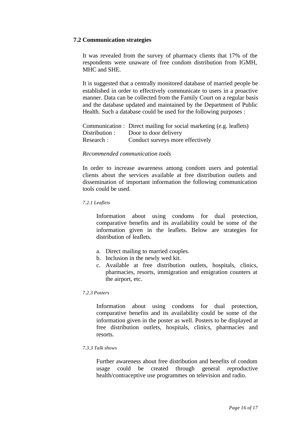#### **7.2 Communication strategies**

It was revealed from the survey of pharmacy clients that 17% of the respondents were unaware of free condom distribution from IGMH, MHC and SHE.

It is suggested that a centrally monitored database of married people be established in order to effectively communicate to users in a proactive manner. Data can be collected from the Family Court on a regular basis and the database updated and maintained by the Department of Public Health. Such a database could be used for the following purposes :

|                | Communication : Direct mailing for social marketing (e.g. leaflets) |
|----------------|---------------------------------------------------------------------|
| Distribution : | Door to door delivery                                               |
| Research:      | Conduct surveys more effectively                                    |

#### *Recommended communication tools*

In order to increase awareness among condom users and potential clients about the services available at free distribution outlets and dissemination of important information the following communication tools could be used.

#### *7.2.1 Leaflets*

Information about using condoms for dual protection, comparative benefits and its availability could be some of the information given in the leaflets. Below are strategies for distribution of leaflets.

- a. Direct mailing to married couples.
- b. Inclusion in the newly wed kit.
- c. Available at free distribution outlets, hospitals, clinics, pharmacies, resorts, immigration and emigration counters at the airport, etc.

#### *7.2.3 Posters*

Information about using condoms for dual protection, comparative benefits and its availability could be some of the information given in the poster as well. Posters to be displayed at free distribution outlets, hospitals, clinics, pharmacies and resorts.

#### *7.3.3 Talk shows*

Further awareness about free distribution and benefits of condom usage could be created through general reproductive health/contraceptive use programmes on television and radio.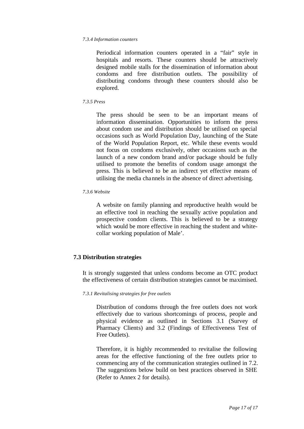#### *7.3.4 Information counters*

Periodical information counters operated in a "fair" style in hospitals and resorts. These counters should be attractively designed mobile stalls for the dissemination of information about condoms and free distribution outlets. The possibility of distributing condoms through these counters should also be explored.

#### *7.3.5 Press*

The press should be seen to be an important means of information dissemination. Opportunities to inform the press about condom use and distribution should be utilised on special occasions such as World Population Day, launching of the State of the World Population Report, etc. While these events would not focus on condoms exclusively, other occasions such as the launch of a new condom brand and/or package should be fully utilised to promote the benefits of condom usage amongst the press. This is believed to be an indirect yet effective means of utilising the media channels in the absence of direct advertising.

#### *7.3.6 Website*

A website on family planning and reproductive health would be an effective tool in reaching the sexually active population and prospective condom clients. This is believed to be a strategy which would be more effective in reaching the student and whitecollar working population of Male'.

### **7.3 Distribution strategies**

It is strongly suggested that unless condoms become an OTC product the effectiveness of certain distribution strategies cannot be maximised.

#### *7.3.1 Revitalising strategies for free outlets*

Distribution of condoms through the free outlets does not work effectively due to various shortcomings of process, people and physical evidence as outlined in Sections 3.1 (Survey of Pharmacy Clients) and 3.2 (Findings of Effectiveness Test of Free Outlets).

Therefore, it is highly recommended to revitalise the following areas for the effective functioning of the free outlets prior to commencing any of the communication strategies outlined in 7.2. The suggestions below build on best practices observed in SHE (Refer to Annex 2 for details).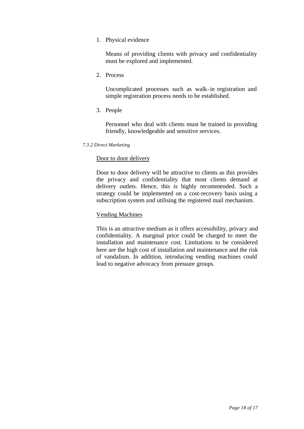1. Physical evidence

Means of providing clients with privacy and confidentiality must be explored and implemented.

2. Process

Uncomplicated processes such as walk-in registration and simple registration process needs to be established.

3. People

Personnel who deal with clients must be trained in providing friendly, knowledgeable and sensitive services.

*7.3.2 Direct Marketing*

### Door to door delivery

Door to door delivery will be attractive to clients as this provides the privacy and confidentiality that most clients demand at delivery outlets. Hence, this is highly recommended. Such a strategy could be implemented on a cost-recovery basis using a subscription system and utilising the registered mail mechanism.

## Vending Machines

This is an attractive medium as it offers accessibility, privacy and confidentiality. A marginal price could be charged to meet the installation and maintenance cost. Limitations to be considered here are the high cost of installation and maintenance and the risk of vandalism. In addition, introducing vending machines could lead to negative advocacy from pressure groups.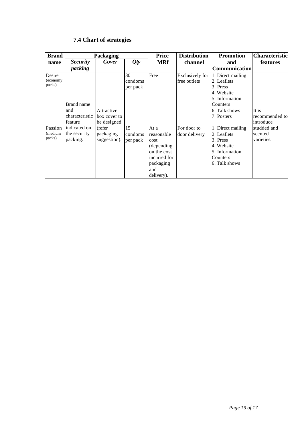| <b>Brand</b>                 | <b>Packaging</b>                               |                                           | <b>Price</b>              | <b>Distribution</b>                                                                                       | <b>Promotion</b>                | <b>Characteristic</b>                                                                                                   |                                      |
|------------------------------|------------------------------------------------|-------------------------------------------|---------------------------|-----------------------------------------------------------------------------------------------------------|---------------------------------|-------------------------------------------------------------------------------------------------------------------------|--------------------------------------|
| name                         | <b>Security</b>                                | Cover                                     | Qty                       | <b>MRf</b>                                                                                                | channel                         | and                                                                                                                     | <b>features</b>                      |
|                              | packing                                        |                                           |                           |                                                                                                           |                                 | <b>Communication</b>                                                                                                    |                                      |
| Desire<br>(economy<br>packs) | Brand name<br>and<br>characteristic<br>feature | Attractive<br>box cover to<br>be designed | 30<br>condoms<br>per pack | Free                                                                                                      | Exclusively for<br>free outlets | 1. Direct mailing<br>2. Leaflets<br>3. Press<br>4. Website<br>5. Information<br>Counters<br>6. Talk shows<br>7. Posters | It is<br>recommended to<br>introduce |
| Passion<br>(medium<br>packs) | indicated on<br>the security<br>packing.       | (refer<br>packaging<br>suggestion).       | 15<br>condoms<br>per pack | At a<br>reasonable<br>cost<br>(depending<br>on the cost<br>incurred for<br>packaging<br>and<br>delivery). | For door to<br>door delivery    | 1. Direct mailing<br>2. Leaflets<br>3. Press<br>4. Website<br>5. Information<br>Counters<br>6. Talk shows               | studded and<br>scented<br>varieties. |

# **7.4 Chart of strategies**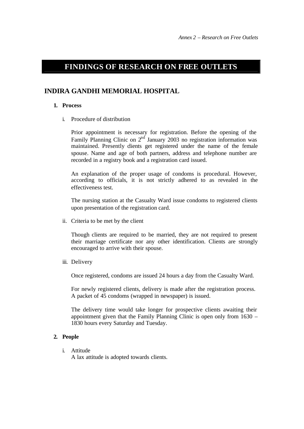# **FINDINGS OF RESEARCH ON FREE OUTLETS**

# **INDIRA GANDHI MEMORIAL HOSPITAL**

#### **1. Process**

i. Procedure of distribution

Prior appointment is necessary for registration. Before the opening of the Family Planning Clinic on  $2<sup>nd</sup>$  January 2003 no registration information was maintained. Presently clients get registered under the name of the female spouse. Name and age of both partners, address and telephone number are recorded in a registry book and a registration card issued.

An explanation of the proper usage of condoms is procedural. However, according to officials, it is not strictly adhered to as revealed in the effectiveness test.

The nursing station at the Casualty Ward issue condoms to registered clients upon presentation of the registration card.

ii. Criteria to be met by the client

Though clients are required to be married, they are not required to present their marriage certificate nor any other identification. Clients are strongly encouraged to arrive with their spouse.

iii. Delivery

Once registered, condoms are issued 24 hours a day from the Casualty Ward.

For newly registered clients, delivery is made after the registration process. A packet of 45 condoms (wrapped in newspaper) is issued.

The delivery time would take longer for prospective clients awaiting their appointment given that the Family Planning Clinic is open only from 1630 – 1830 hours every Saturday and Tuesday.

### **2. People**

i. Attitude

A lax attitude is adopted towards clients.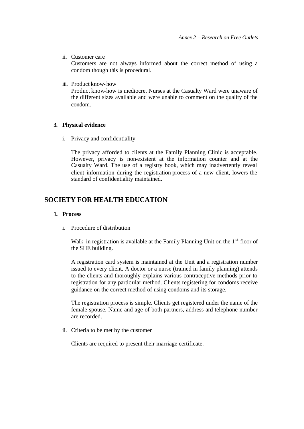ii. Customer care

Customers are not always informed about the correct method of using a condom though this is procedural.

iii. Product know-how

Product know-how is mediocre. Nurses at the Casualty Ward were unaware of the different sizes available and were unable to comment on the quality of the condom.

### **3. Physical evidence**

i. Privacy and confidentiality

The privacy afforded to clients at the Family Planning Clinic is acceptable. However, privacy is non-existent at the information counter and at the Casualty Ward. The use of a registry book, which may inadvertently reveal client information during the registration process of a new client, lowers the standard of confidentiality maintained.

# **SOCIETY FOR HEALTH EDUCATION**

#### **1. Process**

i. Procedure of distribution

Walk-in registration is available at the Family Planning Unit on the  $1<sup>st</sup>$  floor of the SHE building.

A registration card system is maintained at the Unit and a registration number issued to every client. A doctor or a nurse (trained in family planning) attends to the clients and thoroughly explains various contraceptive methods prior to registration for any particular method. Clients registering for condoms receive guidance on the correct method of using condoms and its storage.

The registration process is simple. Clients get registered under the name of the female spouse. Name and age of both partners, address and telephone number are recorded.

ii. Criteria to be met by the customer

Clients are required to present their marriage certificate.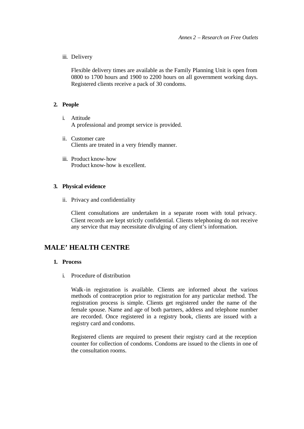iii. Delivery

Flexible delivery times are available as the Family Planning Unit is open from 0800 to 1700 hours and 1900 to 2200 hours on all government working days. Registered clients receive a pack of 30 condoms.

### **2. People**

- i. Attitude A professional and prompt service is provided.
- ii. Customer care Clients are treated in a very friendly manner.
- iii. Product know-how Product know-how is excellent.

#### **3. Physical evidence**

ii. Privacy and confidentiality

Client consultations are undertaken in a separate room with total privacy. Client records are kept strictly confidential. Clients telephoning do not receive any service that may necessitate divulging of any client's information.

# **MALE' HEALTH CENTRE**

#### **1. Process**

i. Procedure of distribution

Walk-in registration is available. Clients are informed about the various methods of contraception prior to registration for any particular method. The registration process is simple. Clients get registered under the name of the female spouse. Name and age of both partners, address and telephone number are recorded. Once registered in a registry book, clients are issued with a registry card and condoms.

Registered clients are required to present their registry card at the reception counter for collection of condoms. Condoms are issued to the clients in one of the consultation rooms.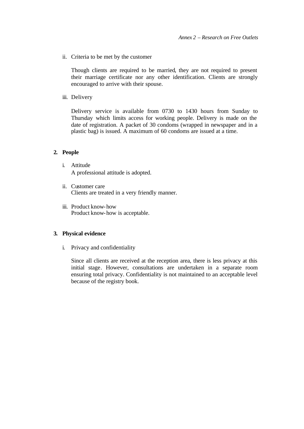ii. Criteria to be met by the customer

Though clients are required to be married, they are not required to present their marriage certificate nor any other identification. Clients are strongly encouraged to arrive with their spouse.

iii. Delivery

Delivery service is available from 0730 to 1430 hours from Sunday to Thursday which limits access for working people. Delivery is made on the date of registration. A packet of 30 condoms (wrapped in newspaper and in a plastic bag) is issued. A maximum of 60 condoms are issued at a time.

#### **2. People**

- i. Attitude A professional attitude is adopted.
- ii. Customer care Clients are treated in a very friendly manner.
- iii. Product know-how Product know-how is acceptable.

### **3. Physical evidence**

i. Privacy and confidentiality

Since all clients are received at the reception area, there is less privacy at this initial stage. However, consultations are undertaken in a separate room ensuring total privacy. Confidentiality is not maintained to an acceptable level because of the registry book.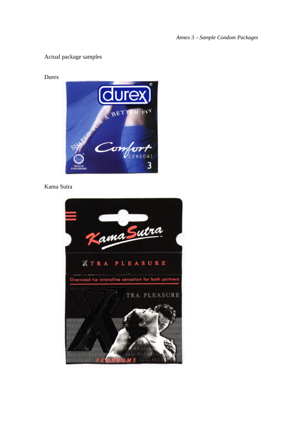*Annex 3 – Sample Condom Packages*

# Actual package samples

Durex



Kama Sutra

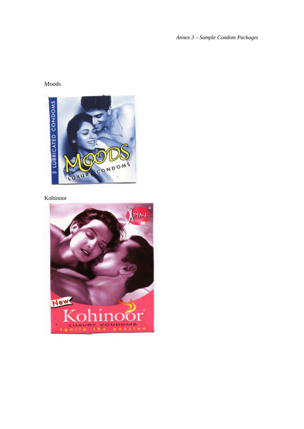*Annex 3 – Sample Condom Packages*

# Moods



# Kohinoor

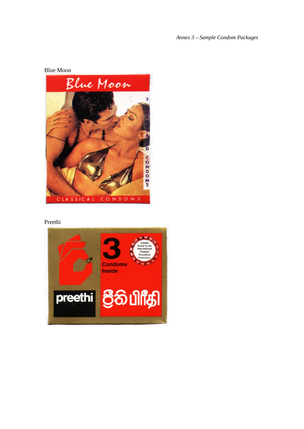*Annex 3 – Sample Condom Packages*



Preethi

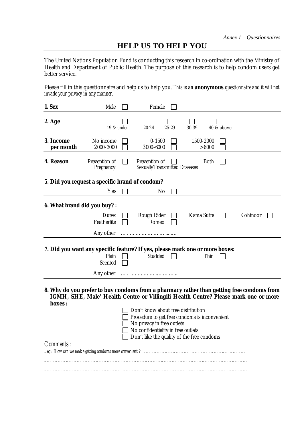# **HELP US TO HELP YOU**

The United Nations Population Fund is conducting this research in co-ordination with the Ministry of Health and Department of Public Health. The purpose of this research is to help condom users get better service.

Please fill in this questionnaire and help us to help you. *This is an anonymous questionnaire and it will not invade your privacy in any manner.*

| 1. Sex                                                                                              | Male                                                                                |                                                                                  | Female                                                                                                            |           |            |             |            |          |  |
|-----------------------------------------------------------------------------------------------------|-------------------------------------------------------------------------------------|----------------------------------------------------------------------------------|-------------------------------------------------------------------------------------------------------------------|-----------|------------|-------------|------------|----------|--|
| 2. Age                                                                                              | 19 & under                                                                          |                                                                                  | 20-24                                                                                                             | $25 - 29$ | 30-39      |             | 40 & above |          |  |
| 3. Income<br>per month                                                                              | No income<br>2000-3000                                                              |                                                                                  | $0 - 1500$<br>3000-6000                                                                                           |           | 1500-2000  | > 6000      |            |          |  |
| 4. Reason                                                                                           | Prevention of<br>Pregnancy                                                          |                                                                                  | Prevention of<br><b>Sexually Transmitted Diseases</b>                                                             |           |            | <b>Both</b> |            |          |  |
| 5. Did you request a specific brand of condom?                                                      |                                                                                     |                                                                                  |                                                                                                                   |           |            |             |            |          |  |
|                                                                                                     | Yes                                                                                 |                                                                                  | No                                                                                                                |           |            |             |            |          |  |
| 6. What brand did you buy? :                                                                        |                                                                                     |                                                                                  |                                                                                                                   |           |            |             |            |          |  |
|                                                                                                     | Durex<br>Featherlite                                                                |                                                                                  | Rough Rider<br>Romeo                                                                                              |           | Kama Sutra |             |            | Kohinoor |  |
|                                                                                                     | Any other                                                                           |                                                                                  |                                                                                                                   |           |            |             |            |          |  |
| 7. Did you want any specific feature? If yes, please mark one or more boxes:                        | Plain<br>Scented                                                                    |                                                                                  | Studded                                                                                                           |           |            | Thin        |            |          |  |
|                                                                                                     | Any other                                                                           |                                                                                  |                                                                                                                   |           |            |             |            |          |  |
| 8. Why do you prefer to buy condoms from a pharmacy rather than getting free condoms from<br>boxes: | IGMH, SHE, Male' Health Centre or Villingili Health Centre? Please mark one or more |                                                                                  | Don't know about free distribution<br>Procedure to get free condoms is inconvenient<br>No privacy in free outlets |           |            |             |            |          |  |
|                                                                                                     |                                                                                     | No confidentiality in free outlets<br>Don't like the quality of the free condoms |                                                                                                                   |           |            |             |            |          |  |
| Comments :                                                                                          |                                                                                     |                                                                                  |                                                                                                                   |           |            |             |            |          |  |
|                                                                                                     |                                                                                     |                                                                                  |                                                                                                                   |           |            |             |            |          |  |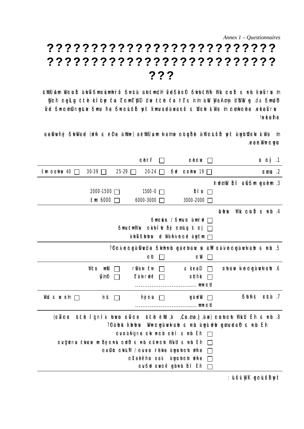*Annex 1 – Questionnaires*

# **?????????????????????????? ?????????????????????????? ???**

utWhU Am Wronib iakwTSmrkmhiruf Srutia awtctmdiH MdSkriff Skytctihif Ihk ronib is inh ikiaMrusim Wgnih ngiLig atch kilop fa cTnimcTWpiD idva atch fa IrcTcsinim iaWa WyaiAmij IdWbWa g .da Smidh Eved cSwncnemuDnwguLwa cSwmuv Ihea cSwncnuLufEb wyit Ikwmuvcaediawvcauruf csWdurwk ulWvusim cnumwkcnehea .evekeaEvrws !a/kaiha

cae Dwihij SikiWad (idif is rDa ialihin) attihiluam ilaima nitoghib ialihniLufib iyit iaigihlidirik ul Wus im .eveaenWvwncnwgun

|                                                                                                           | nhirif                                           | nhnn                           | $\mathsf{IS} \mathsf{N}$ is $\mathsf{II}$                                      |
|-----------------------------------------------------------------------------------------------------------|--------------------------------------------------|--------------------------------|--------------------------------------------------------------------------------|
| itm nrha 40 $\Box$<br>$30-39$ $\Box$<br>$25-29$ $\Box$                                                    | $20-24$ $\Box$                                   | Sid nirihia 19 $\Box$          | $\mathsf{lrm}$ .2                                                              |
|                                                                                                           |                                                  |                                | Inidmith Ibil aiCSim gahim .3                                                  |
| 2000-1500 □                                                                                               | $1500 - 0$ $\Box$                                | bil n $\Box$                   |                                                                                |
| itm 6000 □                                                                                                | 6000-3000                                        | 3000-2000                      |                                                                                |
|                                                                                                           |                                                  |                                | $bbs$ Wik ninb $s$ inh $.4$                                                    |
|                                                                                                           |                                                  | Smrkn / Smrn iamirid $\Box$    |                                                                                |
|                                                                                                           | Smuxtmll is nkitil ib hij nmlg Is nij            |                                |                                                                                |
|                                                                                                           | $i$ aikiiTSibibiis id WairTvinnd aigltin $\Box$  |                                |                                                                                |
|                                                                                                           |                                                  |                                | ?thivnngiaDivide Sikhirh garitav is all riaivnngiavit ab s rh .5?              |
|                                                                                                           | nh                                               | n⊯                             |                                                                                |
| <b><i><u>that is mike</u></i></b>                                                                         | riDiair ofir                                     | s kraD                         | iritaw ivengiawi aib .6                                                        |
| <b>Cymo-</b>                                                                                              | $d$ Tiant rude $\Box$                            | <b>rthhk</b>                   |                                                                                |
|                                                                                                           |                                                  |                                |                                                                                |
| Wid is iv irm $\Box$<br>inut $\Box$                                                                       | ihei ma $\Box$                                   | giard <sup>i</sup> b<br>$\Box$ | Sutufis rutia .7                                                               |
|                                                                                                           |                                                  | mnnh                           |                                                                                |
| (rilfns itdih iligniliv itivin rilfns itdih dith , Ix , Ca.ma.lj .iaia) ninitinit lihiklid ili hisirih .8 |                                                  |                                |                                                                                |
|                                                                                                           |                                                  |                                | ?Itiaibk kibibis Winnigiaivil aib is irih iaigil idib ginividaih is irih II ih |
|                                                                                                           | nwniaifigne nik innth nibil is inth it in        |                                |                                                                                |
| nwigidnia atkais in hij nink nidh is inh nitinnit linkid is inh ii h                                      |                                                  |                                |                                                                                |
|                                                                                                           | nivDb nikiLiff / nivivn irhika iaiginitnit idifa |                                |                                                                                |
|                                                                                                           | nilahfihn rais iaignitnit idifa                  |                                |                                                                                |
|                                                                                                           | nwSid iniving gihin bil il ih                    |                                |                                                                                |

: Luful WiK gnLufibwit